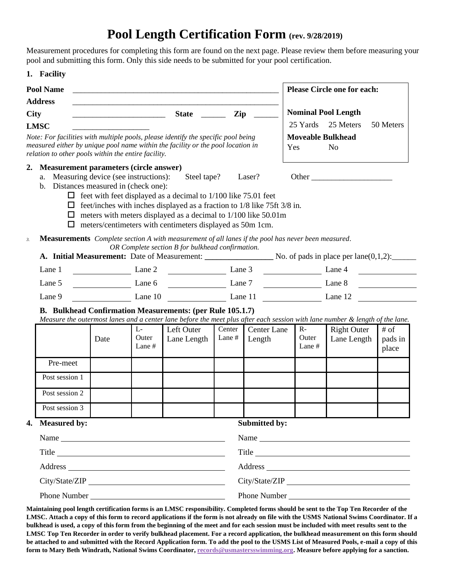## **Pool Length Certification Form (rev. 9/28/2019)**

Measurement procedures for completing this form are found on the next page. Please review them before measuring your pool and submitting this form. Only this side needs to be submitted for your pool certification.

## **1. Facility**

| <b>Pool Name</b><br><b>Address</b><br><b>City</b><br>Zip<br><b>State</b>                                                                                                                                                    |                                                            |                           |                                                                                                                                                                                                                                                                                                                                                                                                                            |                  |                              | <b>Please Circle one for each:</b> |                                   |                            |  |
|-----------------------------------------------------------------------------------------------------------------------------------------------------------------------------------------------------------------------------|------------------------------------------------------------|---------------------------|----------------------------------------------------------------------------------------------------------------------------------------------------------------------------------------------------------------------------------------------------------------------------------------------------------------------------------------------------------------------------------------------------------------------------|------------------|------------------------------|------------------------------------|-----------------------------------|----------------------------|--|
|                                                                                                                                                                                                                             |                                                            |                           |                                                                                                                                                                                                                                                                                                                                                                                                                            |                  |                              | <b>Nominal Pool Length</b>         |                                   |                            |  |
| <b>LMSC</b>                                                                                                                                                                                                                 |                                                            |                           |                                                                                                                                                                                                                                                                                                                                                                                                                            |                  |                              | 25 Yards                           | 25 Meters                         | 50 Meters                  |  |
| Note: For facilities with multiple pools, please identify the specific pool being<br>measured either by unique pool name within the facility or the pool location in<br>relation to other pools within the entire facility. |                                                            |                           |                                                                                                                                                                                                                                                                                                                                                                                                                            |                  |                              | <b>Moveable Bulkhead</b><br>Yes    | N <sub>0</sub>                    |                            |  |
| <b>Measurement parameters (circle answer)</b><br>2.<br>a. Measuring device (see instructions):<br>b. Distances measured in (check one):<br>□<br>$\mathfrak{Z}$ .                                                            |                                                            |                           | Steel tape?<br>$\Box$ feet with feet displayed as a decimal to 1/100 like 75.01 feet<br>$\Box$ feet/inches with inches displayed as a fraction to 1/8 like 75ft 3/8 in.<br>$\Box$ meters with meters displayed as a decimal to 1/100 like 50.01m<br>meters/centimeters with centimeters displayed as 50m 1cm.<br><b>Measurements</b> Complete section A with measurement of all lanes if the pool has never been measured. |                  | Laser?                       |                                    |                                   |                            |  |
|                                                                                                                                                                                                                             |                                                            |                           | OR Complete section B for bulkhead confirmation.                                                                                                                                                                                                                                                                                                                                                                           |                  |                              |                                    |                                   |                            |  |
| Lane 1                                                                                                                                                                                                                      | $\frac{1}{\sqrt{1-\frac{1}{2}}\left(1-\frac{1}{2}\right)}$ | Lane 2                    |                                                                                                                                                                                                                                                                                                                                                                                                                            |                  | Lane 3                       |                                    | Lane 4                            |                            |  |
| Lane 5                                                                                                                                                                                                                      | Lane $6 \quad \qquad$<br>Lane 7                            |                           |                                                                                                                                                                                                                                                                                                                                                                                                                            |                  | Lane 8                       |                                    |                                   |                            |  |
| Lane 9                                                                                                                                                                                                                      | Lane 10                                                    |                           | Lane 11                                                                                                                                                                                                                                                                                                                                                                                                                    | Lane 12          |                              |                                    |                                   |                            |  |
|                                                                                                                                                                                                                             |                                                            |                           | B. Bulkhead Confirmation Measurements: (per Rule 105.1.7)<br>Measure the outermost lanes and a center lane before the meet plus after each session with lane number & length of the lane.                                                                                                                                                                                                                                  |                  |                              |                                    |                                   |                            |  |
|                                                                                                                                                                                                                             | Date                                                       | $L-$<br>Outer<br>Lane $#$ | Left Outer<br>Lane Length                                                                                                                                                                                                                                                                                                                                                                                                  | Center<br>Lane # | <b>Center Lane</b><br>Length | $R -$<br>Outer<br>Lane $#$         | <b>Right Outer</b><br>Lane Length | $#$ of<br>pads in<br>place |  |
| Pre-meet                                                                                                                                                                                                                    |                                                            |                           |                                                                                                                                                                                                                                                                                                                                                                                                                            |                  |                              |                                    |                                   |                            |  |

| Post session 3 |
|----------------|
|                |

Post session 1

Post session 2

**4. Measured by: Submitted by:**

| Name<br><u> 1989 - Johann Stein, fransk politiker (d. 1989)</u>    | Name<br><u> 1989 - Jan Stein Stein Stein Stein Stein Stein Stein Stein Stein Stein Stein Stein Stein Stein Stein Stein S</u> |
|--------------------------------------------------------------------|------------------------------------------------------------------------------------------------------------------------------|
| Title<br><u> 1989 - John Stone, amerikansk politiker (d. 1989)</u> | $\text{Title}$                                                                                                               |
| Address                                                            |                                                                                                                              |
| City/State/ZIP                                                     | City/State/ZIP                                                                                                               |
| <b>Phone Number</b>                                                | <b>Phone Number</b>                                                                                                          |

**Maintaining pool length certification forms is an LMSC responsibility. Completed forms should be sent to the Top Ten Recorder of the LMSC. Attach a copy of this form to record applications if the form is not already on file with the USMS National Swims Coordinator. If a bulkhead is used, a copy of this form from the beginning of the meet and for each session must be included with meet results sent to the LMSC Top Ten Recorder in order to verify bulkhead placement. For a record application, the bulkhead measurement on this form should be attached to and submitted with the Record Application form. To add the pool to the USMS List of Measured Pools, e-mail a copy of this form to Mary Beth Windrath, National Swims Coordinator[, records@usmastersswimming.org.](mailto:records@usmastersswimming.org) Measure before applying for a sanction.**